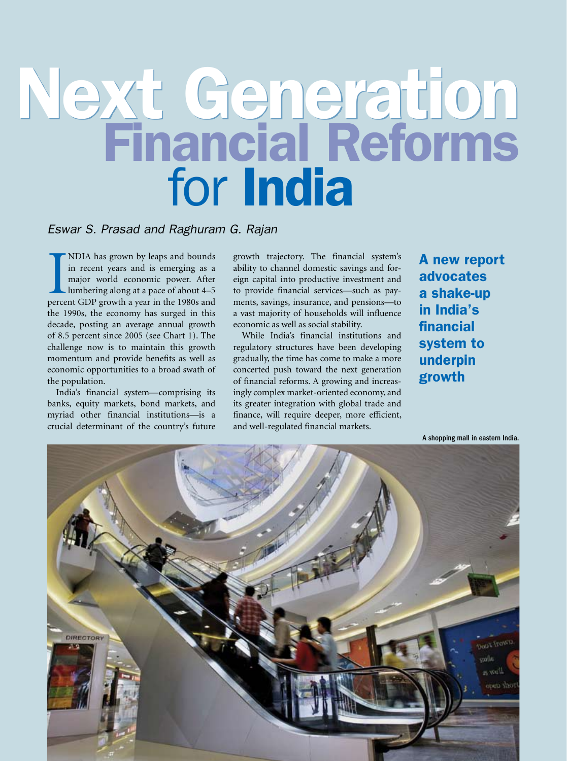# Next Generation Financial Reforms<br>for India

# *Eswar S. Prasad and Raghuram G. Rajan*

NDIA has grown by leaps and bounds<br>in recent years and is emerging as a<br>major world economic power. After<br>lumbering along at a pace of about 4–5<br>percent GDP growth a year in the 1980s and NDIA has grown by leaps and bounds in recent years and is emerging as a major world economic power. After lumbering along at a pace of about 4–5 the 1990s, the economy has surged in this decade, posting an average annual growth of 8.5 percent since 2005 (see Chart 1). The challenge now is to maintain this growth momentum and provide benefits as well as economic opportunities to a broad swath of the population.

India's financial system—comprising its banks, equity markets, bond markets, and myriad other financial institutions—is a crucial determinant of the country's future growth trajectory. The financial system's ability to channel domestic savings and foreign capital into productive investment and to provide financial services—such as payments, savings, insurance, and pensions—to a vast majority of households will influence economic as well as social stability.-

While India's financial institutions and regulatory structures have been developing gradually, the time has come to make a more concerted push toward the next generation of financial reforms. A growing and increasingly complex market-oriented economy, and its greater integration with global trade and finance, will require deeper, more efficient, and well-regulated financial markets.-

A new report advocates a shake-up in India's financial system to underpin growth

A shopping mall in eastern India.

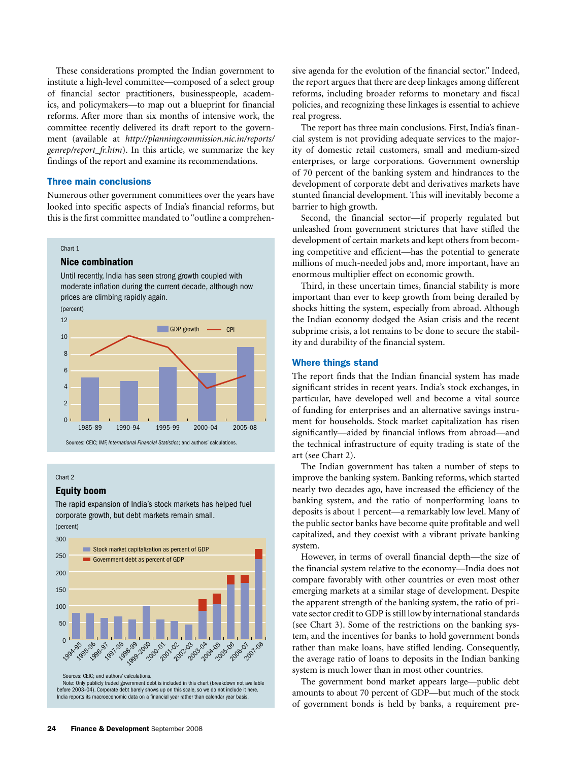These considerations prompted the Indian government to institute a high-level committee—composed of a select group of financial sector practitioners, businesspeople, academics, and policymakers—to map out a blueprint for financial reforms. After more than six months of intensive work, the committee recently delivered its draft report to the government (available at *http://planningcommission.nic.in/reports/ genrep/report\_fr.htm*). In this article, we summarize the key findings of the report and examine its recommendations.

### Three main conclusions

Numerous other government committees over the years have rametodic care: government committees over the years have looked into specific aspects of India's financial reforms, but this is the first committee mandated to "outline a comprehenre i

### Chart 1

### Nice combination

Until recently, India has seen strong growth coupled with moderate inflation during the current decade, although now prices are climbing rapidly again.





### Chart 2

### Equity boom

The rapid expansion of India's stock markets has helped fuel corporate growth, but debt markets remain small. (percent)



Sources: CEIC; and authors' calculations.

Note: Only publicly traded government debt is included in this chart (breakdown not available before 2003–04). Corporate debt barely shows up on this scale, so we do not include it here. India reports its macroeconomic data on a financial year rather than calendar year basis.

sive agenda for the evolution of the financial sector." Indeed, the report argues that there are deep linkages among different reforms, including broader reforms to monetary and fiscal policies, and recognizing these linkages is essential to achieve real progress.

The report has three main conclusions. First, India's financial system is not providing adequate services to the majority of domestic retail customers, small and medium-sized enterprises, or large corporations. Government ownership of 70 percent of the banking system and hindrances to the development of corporate debt and derivatives markets have stunted financial development. This will inevitably become a barrier to high growth.

Second, the financial sector—if properly regulated but unleashed from government strictures that have stifled the development of certain markets and kept others from becoming competitive and efficient—has the potential to generate millions of much-needed jobs and, more important, have an enormous multiplier effect on economic growth.

Third, in these uncertain times, financial stability is more important than ever to keep growth from being derailed by shocks hitting the system, especially from abroad. Although the Indian economy dodged the Asian crisis and the recent subprime crisis, a lot remains to be done to secure the stability and durability of the financial system.-

### Where things stand

The report finds that the Indian financial system has made significant strides in recent years. India's stock exchanges, in particular, have developed well and become a vital source of funding for enterprises and an alternative savings instrument for households. Stock market capitalization has risen significantly—aided by financial inflows from abroad—and the technical infrastructure of equity trading is state of the art (see Chart 2).

The Indian government has taken a number of steps to improve the banking system. Banking reforms, which started nearly two decades ago, have increased the efficiency of the banking system, and the ratio of nonperforming loans to deposits is about 1 percent—a remarkably low level. Many of the public sector banks have become quite profitable and well capitalized, and they coexist with a vibrant private banking system.

However, in terms of overall financial depth—the size of the financial system relative to the economy—India does not compare favorably with other countries or even most other emerging markets at a similar stage of development. Despite the apparent strength of the banking system, the ratio of private sector credit to GDP is still low by international standards (see Chart 3). Some of the restrictions on the banking system, and the incentives for banks to hold government bonds rather than make loans, have stifled lending. Consequently, the average ratio of loans to deposits in the Indian banking system is much lower than in most other countries.

The government bond market appears large—public debt amounts to about 70 percent of GDP—but much of the stock of government bonds is held by banks, a requirement pre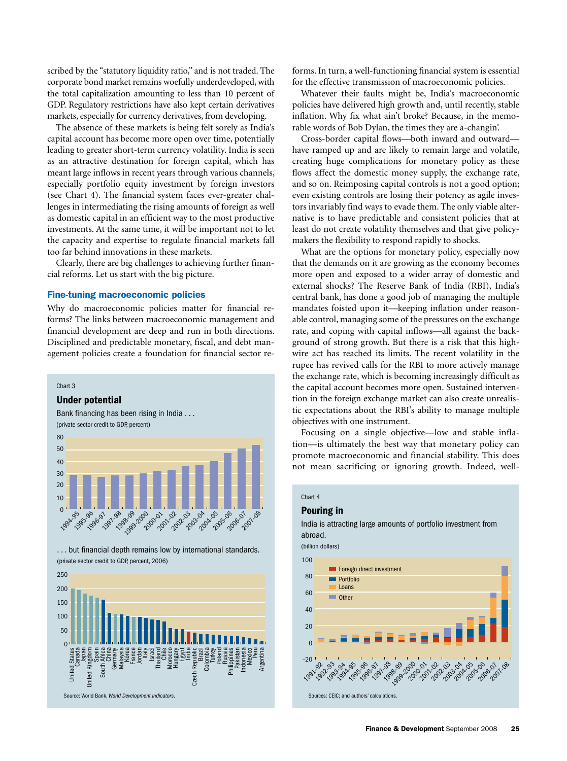scribed by the "statutory liquidity ratio," and is not traded. The corporate bond market remains woefully underdeveloped, with the total capitalization amounting to less than 10 percent of GDP. Regulatory restrictions have also kept certain derivatives markets, especially for currency derivatives, from developing.-

The absence of these markets is being felt sorely as India's capital account has become more open over time, potentially leading to greater short-term currency volatility. India is seen as an attractive destination for foreign capital, which has meant large inflows in recent years through various channels, especially portfolio equity investment by foreign investors (see Chart 4). The financial system faces ever-greater challenges in intermediating the rising amounts of foreign as well as domestic capital in an efficient way to the most productive investments. At the same time, it will be important not to let the capacity and expertise to regulate financial markets fall too far behind innovations in these markets.

Clearly, there are big challenges to achieving further financial reforms. Let us start with the big picture.

### Fine-tuning macroeconomic policies

Why do macroeconomic policies matter for financial reforms? The links between macroeconomic management and financial development are deep and run in both directions. Disciplined and predictable monetary, fiscal, and debt management policies create a foundation for financial sector re-

### Chart 3

### Under potential



. . . but financial depth remains low by international standards. (private sector credit to GDP, percent, 2006)



forms. In turn, a well-functioning financial system is essential for the effective transmission of macroeconomic policies.

Whatever their faults might be, India's macroeconomic policies have delivered high growth and, until recently, stable inflation. Why fix what ain't broke? Because, in the memorable words of Bob Dylan, the times they are a-changin'.

Cross-border capital flows—both inward and outward have ramped up and are likely to remain large and volatile, creating huge complications for monetary policy as these flows affect the domestic money supply, the exchange rate, and so on. Reimposing capital controls is not a good option; even existing controls are losing their potency as agile investors invariably find ways to evade them. The only viable alternative is to have predictable and consistent policies that at least do not create volatility themselves and that give policymakers the flexibility to respond rapidly to shocks.

What are the options for monetary policy, especially now that the demands on it are growing as the economy becomes more open and exposed to a wider array of domestic and external shocks? The Reserve Bank of India (RBI), India's central bank, has done a good job of managing the multiple mandates foisted upon it—keeping inflation under reasonable control, managing some of the pressures on the exchange rate, and coping with capital inflows—all against the background of strong growth. But there is a risk that this highwire act has reached its limits. The recent volatility in the rupee has revived calls for the RBI to more actively manage the exchange rate, which is becoming increasingly difficult as the capital account becomes more open. Sustained intervention in the foreign exchange market can also create unrealistic expectations about the RBI's ability to manage multiple objectives with one instrument.-

Focusing on a single objective—low and stable inflation-is ultimately the best way that monetary policy can promote macroeconomic and financial stability. This does not mean sacrificing or ignoring growth. Indeed, well- $\ddot{\cdot}$ 

### Chart 4

### Pouring in

### India is attracting large amounts of portfolio investment from abroad.

(billion dollars)

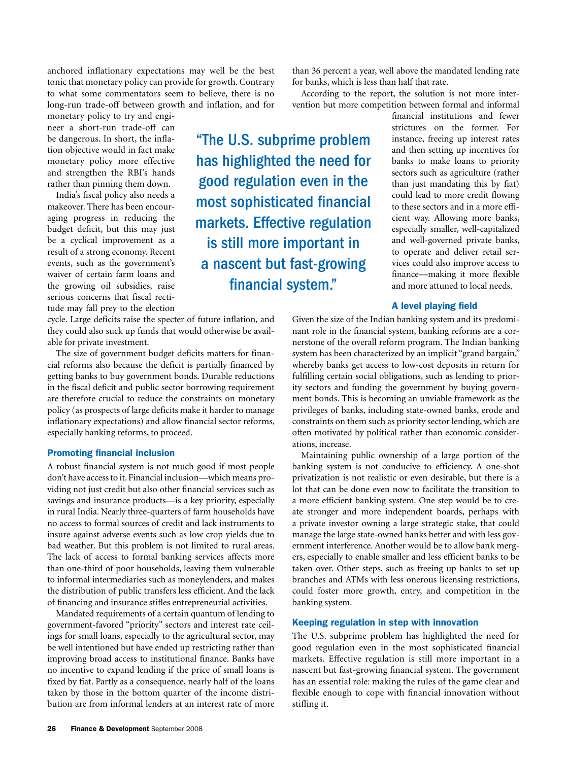anchored inflationary expectations may well be the best tonic that monetary policy can provide for growth. Contrary to what some commentators seem to believe, there is no long-run trade-off between growth and inflation, and for

monetary policy to try and engineer a short-run trade-off can be dangerous. In short, the inflation objective would in fact make monetary policy more effective and strengthen the RBI's hands rather than pinning them down.

India's fiscal policy also needs a makeover. There has been encouraging progress in reducing the budget deficit, but this may just be a cyclical improvement as a result of a strong economy. Recent events, such as the government's waiver of certain farm loans and the growing oil subsidies, raise serious concerns that fiscal rectitude may fall prey to the election

cycle. Large deficits raise the specter of future inflation, and they could also suck up funds that would otherwise be available for private investment.

The size of government budget deficits matters for financial reforms also because the deficit is partially financed by getting banks to buy government bonds. Durable reductions in the fiscal deficit and public sector borrowing requirement are therefore crucial to reduce the constraints on monetary policy (as prospects of large deficits make it harder to manage inflationary expectations) and allow financial sector reforms, especially banking reforms, to proceed.-

### Promoting financial inclusion

A robust financial system is not much good if most people don't have access to it. Financial inclusion—which means providing not just credit but also other financial services such as savings and insurance products—is a key priority, especially in rural India. Nearly three-quarters of farm households have no access to formal sources of credit and lack instruments to insure against adverse events such as low crop yields due to bad weather. But this problem is not limited to rural areas. The lack of access to formal banking services affects more than one-third of poor households, leaving them vulnerable to informal intermediaries such as moneylenders, and makes the distribution of public transfers less efficient. And the lack of financing and insurance stifles entrepreneurial activities.-

Mandated requirements of a certain quantum of lending to government-favored "priority" sectors and interest rate ceilings for small loans, especially to the agricultural sector, may be well intentioned but have ended up restricting rather than improving broad access to institutional finance. Banks have no incentive to expand lending if the price of small loans is fixed by fiat. Partly as a consequence, nearly half of the loans taken by those in the bottom quarter of the income distribution are from informal lenders at an interest rate of more

than 36 percent a year, well above the mandated lending rate for banks, which is less than half that rate.

According to the report, the solution is not more intervention but more competition between formal and informal

financial institutions and fewer strictures on the former. For instance, freeing up interest rates and then setting up incentives for banks to make loans to priority sectors such as agriculture (rather than just mandating this by fiat) could lead to more credit flowing to these sectors and in a more efficient way. Allowing more banks, especially smaller, well-capitalized and well-governed private banks, to operate and deliver retail services could also improve access to finance—making it more flexible and more attuned to local needs.

### A level playing field

Given the size of the Indian banking system and its predominant role in the financial system, banking reforms are a cornerstone of the overall reform program. The Indian banking system has been characterized by an implicit "grand bargain," whereby banks get access to low-cost deposits in return for fulfilling certain social obligations, such as lending to priority sectors and funding the government by buying government bonds. This is becoming an unviable framework as the privileges of banks, including state-owned banks, erode and constraints on them such as priority sector lending, which are often motivated by political rather than economic considerations, increase.

Maintaining public ownership of a large portion of the banking system is not conducive to efficiency. A one-shot privatization is not realistic or even desirable, but there is a lot that can be done even now to facilitate the transition to a more efficient banking system. One step would be to create stronger and more independent boards, perhaps with a private investor owning a large strategic stake, that could manage the large state-owned banks better and with less government interference. Another would be to allow bank mergers, especially to enable smaller and less efficient banks to be taken over. Other steps, such as freeing up banks to set up branches and ATMs with less onerous licensing restrictions, could foster more growth, entry, and competition in the banking system.-

### Keeping regulation in step with innovation

The U.S. subprime problem has highlighted the need for good regulation even in the most sophisticated financial markets. Effective regulation is still more important in a nascent but fast-growing financial system. The government has an essential role: making the rules of the game clear and flexible enough to cope with financial innovation without stifling it.

"The U.S. subprime problem has highlighted the need for good regulation even in the most sophisticated financial markets. Effective regulation is still more important in a nascent but fast-growing financial system."